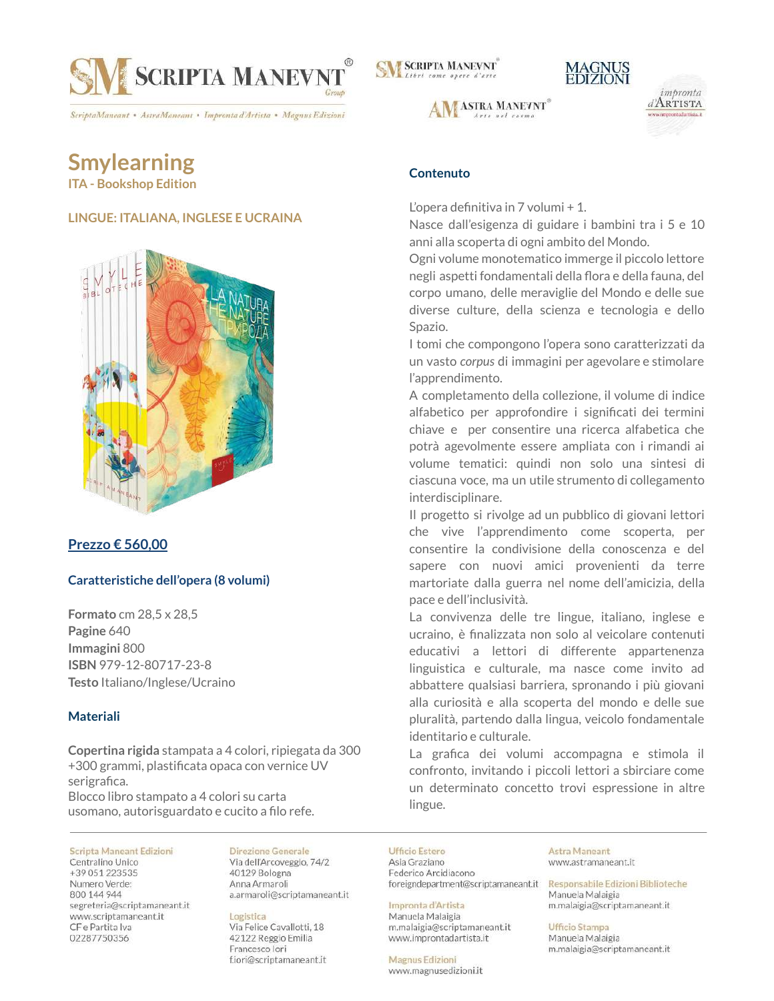

## **Smylearning**

**ITA - Bookshop Edition**

## **LINGUE: ITALIANA, INGLESE E UCRAINA**



## **Prezzo € 560,00**

### **Caratteristiche dell'opera (8 volumi)**

**Formato** cm 28,5 x 28,5 **Pagine** 640 **Immagini** 800 **ISBN** 979-12-80717-23-8 **Testo** Italiano/Inglese/Ucraino

#### **Materiali**

**Copertina rigida** stampata a 4 colori, ripiegata da 300 +300 grammi, plastificata opaca con vernice UV serigrafica. Blocco libro stampato a 4 colori su carta usomano, autorisguardato e cucito a filo refe.

#### Scripta Maneant Edizioni

Centralino Unico +39 051 223535 Numero Verde: 800 144 944 segreteria@scriptamaneant.it www.scriptamaneant.it CF e Partita Iva 02287750356

## Direzione Generale

Via dell'Arcoveggio, 74/2 40129 Bologna Anna Armaroli a.armaroli@scriptamaneant.it

## Logistica

Via Felice Cavallotti, 18 42122 Reggio Emilia Francesco lori f.iori@scriptamaneant.it **SM SCRIPTA MANEVNT** 





#### **Contenuto**

L'opera definitiva in 7 volumi + 1.

Nasce dall'esigenza di guidare i bambini tra i 5 e 10 anni alla scoperta di ogni ambito del Mondo.

Ogni volume monotematico immerge il piccolo lettore negli aspetti fondamentali della flora e della fauna, del corpo umano, delle meraviglie del Mondo e delle sue diverse culture, della scienza e tecnologia e dello Spazio.

I tomi che compongono l'opera sono caratterizzati da un vasto *corpus* di immagini per agevolare e stimolare l'apprendimento.

A completamento della collezione, il volume di indice alfabetico per approfondire i significati dei termini chiave e per consentire una ricerca alfabetica che potrà agevolmente essere ampliata con i rimandi ai volume tematici: quindi non solo una sintesi di ciascuna voce, ma un utile strumento di collegamento interdisciplinare.

Il progetto si rivolge ad un pubblico di giovani lettori che vive l'apprendimento come scoperta, per consentire la condivisione della conoscenza e del sapere con nuovi amici provenienti da terre martoriate dalla guerra nel nome dell'amicizia, della pace e dell'inclusività.

La convivenza delle tre lingue, italiano, inglese e ucraino, è finalizzata non solo al veicolare contenuti educativi a lettori di differente appartenenza linguistica e culturale, ma nasce come invito ad abbattere qualsiasi barriera, spronando i più giovani alla curiosità e alla scoperta del mondo e delle sue pluralità, partendo dalla lingua, veicolo fondamentale identitario e culturale.

La grafica dei volumi accompagna e stimola il confronto, invitando i piccoli lettori a sbirciare come un determinato concetto trovi espressione in altre lingue.

#### **Ufficio Estero** Asia Graziano

Federico Arcidiacono foreigndepartment@scriptamaneant.it

#### Impronta d'Artista

Manuela Malaigia m.malaigia@scriptamaneant.it www.improntadartista.it

**Magnus Edizioni** www.magnusedizioni.it

#### **Astra Maneant** www.astramaneant.it

Responsabile Edizioni Biblioteche Manuela Malaigia m.malaigia@scriptamaneant.it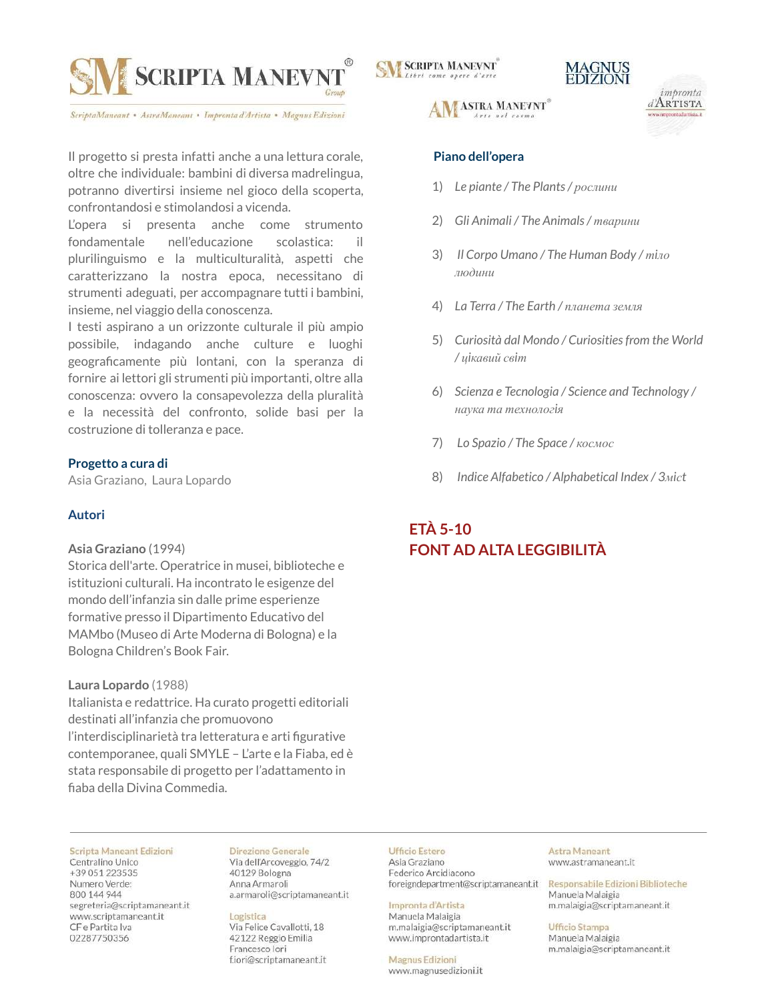

Il progetto si presta infatti anche a una lettura corale, oltre che individuale: bambini di diversa madrelingua, potranno divertirsi insieme nel gioco della scoperta, confrontandosi e stimolandosi a vicenda.

L'opera si presenta anche come strumento fondamentale nell'educazione scolastica: il plurilinguismo e la multiculturalità, aspetti che caratterizzano la nostra epoca, necessitano di strumenti adeguati, per accompagnare tutti i bambini, insieme, nel viaggio della conoscenza.

I testi aspirano a un orizzonte culturale il più ampio possibile, indagando anche culture e luoghi geograficamente più lontani, con la speranza di fornire ai lettori gli strumenti più importanti, oltre alla conoscenza: ovvero la consapevolezza della pluralità e la necessità del confronto, solide basi per la costruzione di tolleranza e pace.

#### **Progetto a cura di**

Asia Graziano, Laura Lopardo

#### **Autori**

#### **Asia Graziano** (1994)

Storica dell'arte. Operatrice in musei, biblioteche e istituzioni culturali. Ha incontrato le esigenze del mondo dell'infanzia sin dalle prime esperienze formative presso il Dipartimento Educativo del MAMbo (Museo di Arte Moderna di Bologna) e la Bologna Children's Book Fair.

#### **Laura Lopardo** (1988)

Italianista e redattrice. Ha curato progetti editoriali destinati all'infanzia che promuovono l'interdisciplinarietà tra letteratura e arti figurative contemporanee, quali SMYLE – L'arte e la Fiaba, ed è stata responsabile di progetto per l'adattamento in fiaba della Divina Commedia.

# **SM SCRIPTA MANEVNT**





#### **Piano dell'opera**

- 1) *Le piante / The Plants/ рослини*
- 2) *Gli Animali / The Animals/ тварини*
- 3) *Il Corpo Umano / The Human Body / тiло людини*
- 4) *La Terra / The Earth / планета земля*
- 5) *Curiosità dal Mondo / Curiositiesfrom the World / цiкавий свiт*
- 6) *Scienza e Tecnologia / Science and Technology / наука та технологiя*
- 7) *Lo Spazio / The Space / космос*
- 8) *Indice Alfabetico / Alphabetical Index / 3мiсt*

## **ETÀ 5-10 FONT AD ALTA LEGGIBILITÀ**

#### Scripta Maneant Edizioni

Centralino Unico +39 051 223535 Numero Verde: 800 144 944 segreteria@scriptamaneant.it www.scriptamaneant.it CF e Partita Iva 02287750356

## Direzione Generale

Via dell'Arcoveggio, 74/2 40129 Bologna Anna Armaroli a.armaroli@scriptamaneant.it

## Logistica

Via Felice Cavallotti, 18 42122 Reggio Emilia Francesco lori f.iori@scriptamaneant.it

#### **Ufficio Estero** Asia Graziano

Federico Arcidiacono foreigndepartment@scriptamaneant.it

## Impronta d'Artista

Manuela Malaigia m.malaigia@scriptamaneant.it www.improntadartista.it

**Magnus Edizioni** www.magnusedizioni.it

#### **Astra Maneant** www.astramaneant.it

Responsabile Edizioni Biblioteche Manuela Malaigia m.malaigia@scriptamaneant.it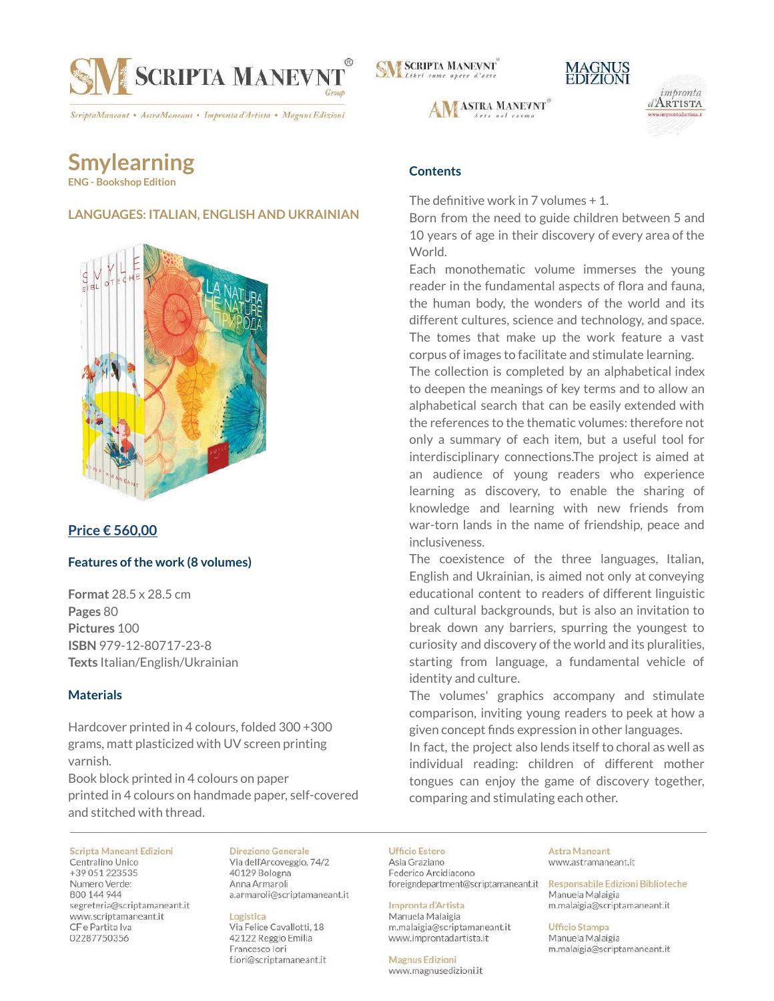

## **Smylearning**

**ENG - Bookshop Edition**

## **LANGUAGES: ITALIAN, ENGLISH AND UKRAINIAN**



## **Price € 560,00**

#### **Features of the work (8 volumes)**

**Format** 28.5 x 28.5 cm **Pages** 80 **Pictures** 100 **ISBN** 979-12-80717-23-8 **Texts** Italian/English/Ukrainian

### **Materials**

Hardcover printed in 4 colours, folded 300 +300 grams, matt plasticized with UV screen printing varnish.

Book block printed in 4 colours on paper printed in 4 colours on handmade paper, self-covered and stitched with thread.

#### Scripta Maneant Edizioni

Centralino Unico +39 051 223535 Numero Verde: 800 144 944 segreteria@scriptamaneant.it www.scriptamaneant.it CF e Partita Iva 02287750356

#### Direzione Generale Via dell'Arcoveggio, 74/2

40129 Bologna Anna Armaroli a.armaroli@scriptamaneant.it

## Logistica

Via Felice Cavallotti, 18 42122 Reggio Emilia Francesco lori f.iori@scriptamaneant.it **SM SCRIPTA MANEVNT** 





#### **Contents**

The definitive work in 7 volumes + 1.

Born from the need to guide children between 5 and 10 years of age in their discovery of every area of the World.

Each monothematic volume immerses the young reader in the fundamental aspects of flora and fauna, the human body, the wonders of the world and its different cultures, science and technology, and space. The tomes that make up the work feature a vast corpus of images to facilitate and stimulate learning.

The collection is completed by an alphabetical index to deepen the meanings of key terms and to allow an alphabetical search that can be easily extended with the references to the thematic volumes: therefore not only a summary of each item, but a useful tool for interdisciplinary connections.The project is aimed at an audience of young readers who experience learning as discovery, to enable the sharing of knowledge and learning with new friends from war-torn lands in the name of friendship, peace and inclusiveness.

The coexistence of the three languages, Italian, English and Ukrainian, is aimed not only at conveying educational content to readers of different linguistic and cultural backgrounds, but is also an invitation to break down any barriers, spurring the youngest to curiosity and discovery of the world and its pluralities, starting from language, a fundamental vehicle of identity and culture.

The volumes' graphics accompany and stimulate comparison, inviting young readers to peek at how a given concept finds expression in other languages.

In fact, the project also lends itself to choral as well as individual reading: children of different mother tongues can enjoy the game of discovery together, comparing and stimulating each other.

#### **Ufficio Estero** Asia Graziano

Federico Arcidiacono foreigndepartment@scriptamaneant.it

#### Impronta d'Artista

Manuela Malaigia m.malaigia@scriptamaneant.it www.improntadartista.it

**Magnus Edizioni** www.magnusedizioni.it

#### **Astra Maneant** www.astramaneant.it

Responsabile Edizioni Biblioteche Manuela Malaigia m.malaigia@scriptamaneant.it